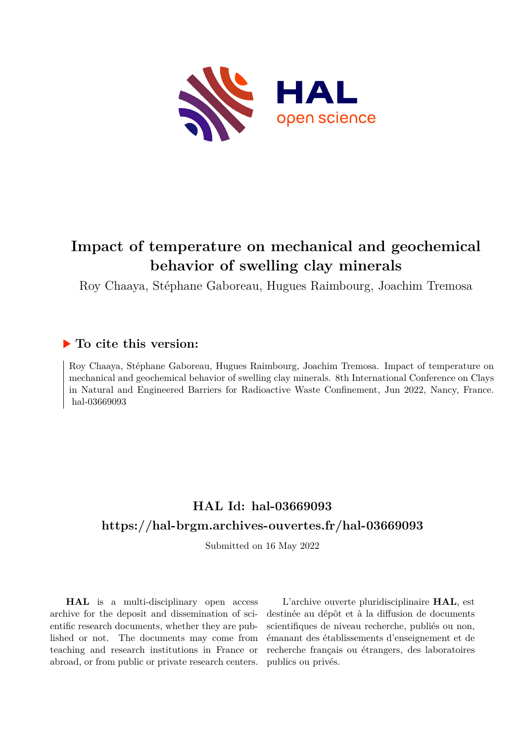

## **Impact of temperature on mechanical and geochemical behavior of swelling clay minerals**

Roy Chaaya, Stéphane Gaboreau, Hugues Raimbourg, Joachim Tremosa

## **To cite this version:**

Roy Chaaya, Stéphane Gaboreau, Hugues Raimbourg, Joachim Tremosa. Impact of temperature on mechanical and geochemical behavior of swelling clay minerals. 8th International Conference on Clays in Natural and Engineered Barriers for Radioactive Waste Confinement, Jun 2022, Nancy, France. hal-03669093

## **HAL Id: hal-03669093 <https://hal-brgm.archives-ouvertes.fr/hal-03669093>**

Submitted on 16 May 2022

**HAL** is a multi-disciplinary open access archive for the deposit and dissemination of scientific research documents, whether they are published or not. The documents may come from teaching and research institutions in France or abroad, or from public or private research centers.

L'archive ouverte pluridisciplinaire **HAL**, est destinée au dépôt et à la diffusion de documents scientifiques de niveau recherche, publiés ou non, émanant des établissements d'enseignement et de recherche français ou étrangers, des laboratoires publics ou privés.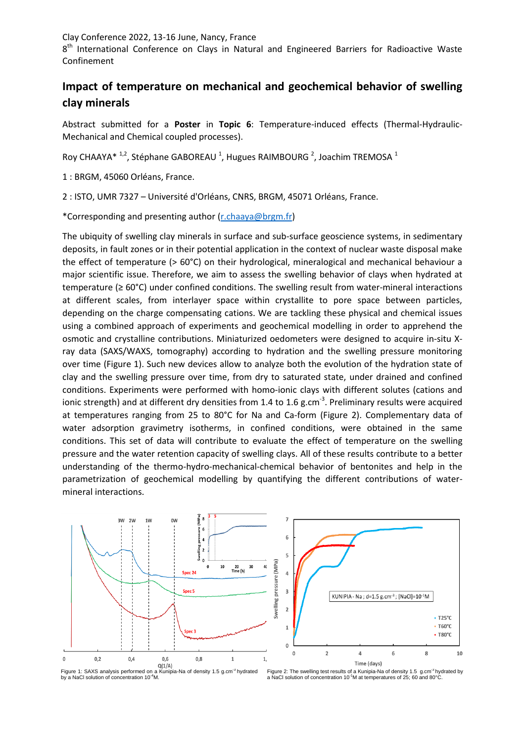8<sup>th</sup> International Conference on Clays in Natural and Engineered Barriers for Radioactive Waste Confinement

## **Impact of temperature on mechanical and geochemical behavior of swelling clay minerals**

Abstract submitted for a **Poster** in **Topic 6**: Temperature-induced effects (Thermal-Hydraulic-Mechanical and Chemical coupled processes).

Roy CHAAYA\*  $1,2$ , Stéphane GABOREAU  $1$ , Hugues RAIMBOURG  $2$ , Joachim TREMOSA  $1$ 

1 : BRGM, 45060 Orléans, France.

2 : ISTO, UMR 7327 – Université d'Orléans, CNRS, BRGM, 45071 Orléans, France.

\*Corresponding and presenting author [\(r.chaaya@brgm.fr\)](mailto:r.chaaya@brgm.fr)

The ubiquity of swelling clay minerals in surface and sub-surface geoscience systems, in sedimentary deposits, in fault zones or in their potential application in the context of nuclear waste disposal make the effect of temperature (> 60°C) on their hydrological, mineralogical and mechanical behaviour a major scientific issue. Therefore, we aim to assess the swelling behavior of clays when hydrated at temperature (≥ 60°C) under confined conditions. The swelling result from water-mineral interactions at different scales, from interlayer space within crystallite to pore space between particles, depending on the charge compensating cations. We are tackling these physical and chemical issues using a combined approach of experiments and geochemical modelling in order to apprehend the osmotic and crystalline contributions. Miniaturized oedometers were designed to acquire in-situ Xray data (SAXS/WAXS, tomography) according to hydration and the swelling pressure monitoring over time (Figure 1). Such new devices allow to analyze both the evolution of the hydration state of clay and the swelling pressure over time, from dry to saturated state, under drained and confined conditions. Experiments were performed with homo-ionic clays with different solutes (cations and ionic strength) and at different dry densities from 1.4 to 1.6 g.cm<sup>-3</sup>. Preliminary results were acquired at temperatures ranging from 25 to 80°C for Na and Ca-form (Figure 2). Complementary data of water adsorption gravimetry isotherms, in confined conditions, were obtained in the same conditions. This set of data will contribute to evaluate the effect of temperature on the swelling pressure and the water retention capacity of swelling clays. All of these results contribute to a better understanding of the thermo-hydro-mechanical-chemical behavior of bentonites and help in the parametrization of geochemical modelling by quantifying the different contributions of watermineral interactions.





Figure 1: SAXS analysis performed on a Kunipia-Na of density 1.5 g.cm<sup>-3</sup> hydrated by a NaCl solution of concentration 10<sup>-4</sup>M.